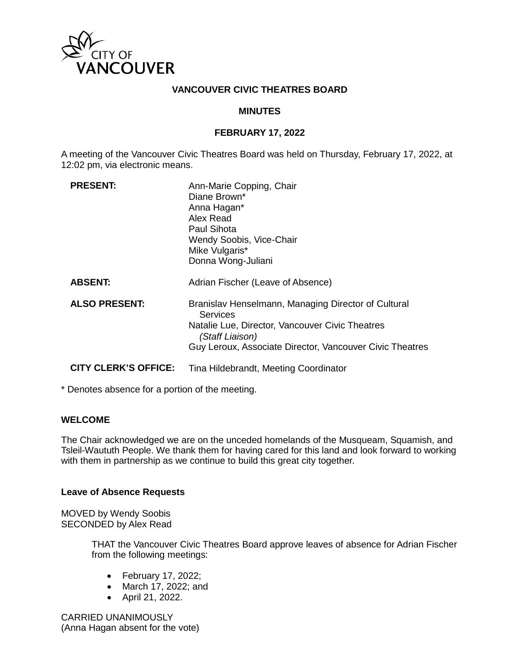

#### **VANCOUVER CIVIC THEATRES BOARD**

#### **MINUTES**

#### **FEBRUARY 17, 2022**

A meeting of the Vancouver Civic Theatres Board was held on Thursday, February 17, 2022, at 12:02 pm, via electronic means.

| <b>PRESENT:</b>             | Ann-Marie Copping, Chair<br>Diane Brown*<br>Anna Hagan*<br>Alex Read<br>Paul Sihota<br>Wendy Soobis, Vice-Chair<br>Mike Vulgaris*<br>Donna Wong-Juliani                                           |
|-----------------------------|---------------------------------------------------------------------------------------------------------------------------------------------------------------------------------------------------|
| <b>ABSENT:</b>              | Adrian Fischer (Leave of Absence)                                                                                                                                                                 |
| <b>ALSO PRESENT:</b>        | Branislav Henselmann, Managing Director of Cultural<br>Services<br>Natalie Lue, Director, Vancouver Civic Theatres<br>(Staff Liaison)<br>Guy Leroux, Associate Director, Vancouver Civic Theatres |
| <b>CITY CLERK'S OFFICE:</b> | Tina Hildebrandt, Meeting Coordinator                                                                                                                                                             |

\* Denotes absence for a portion of the meeting.

### **WELCOME**

The Chair acknowledged we are on the unceded homelands of the Musqueam, Squamish, and Tsleil-Waututh People. We thank them for having cared for this land and look forward to working with them in partnership as we continue to build this great city together.

#### **Leave of Absence Requests**

MOVED by Wendy Soobis SECONDED by Alex Read

> THAT the Vancouver Civic Theatres Board approve leaves of absence for Adrian Fischer from the following meetings:

- February 17, 2022;
- March 17, 2022; and
- April 21, 2022.

CARRIED UNANIMOUSLY (Anna Hagan absent for the vote)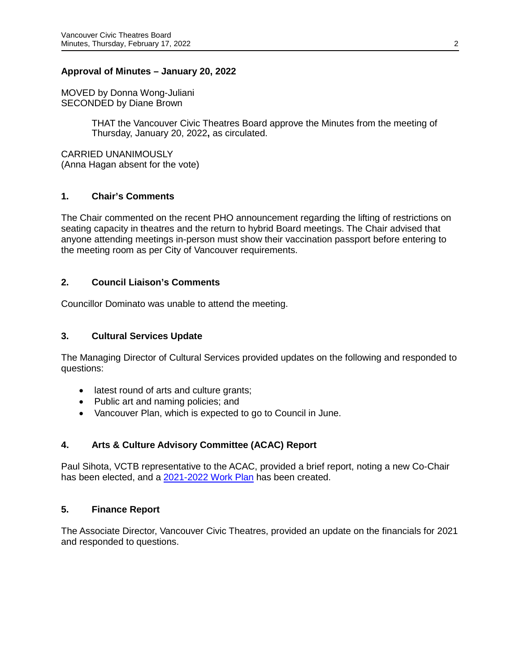#### **Approval of Minutes – January 20, 2022**

MOVED by Donna Wong-Juliani SECONDED by Diane Brown

> THAT the Vancouver Civic Theatres Board approve the Minutes from the meeting of Thursday, January 20, 2022**,** as circulated.

CARRIED UNANIMOUSLY (Anna Hagan absent for the vote)

### **1. Chair's Comments**

The Chair commented on the recent PHO announcement regarding the lifting of restrictions on seating capacity in theatres and the return to hybrid Board meetings. The Chair advised that anyone attending meetings in-person must show their vaccination passport before entering to the meeting room as per City of Vancouver requirements.

### **2. Council Liaison's Comments**

Councillor Dominato was unable to attend the meeting.

#### **3. Cultural Services Update**

The Managing Director of Cultural Services provided updates on the following and responded to questions:

- latest round of arts and culture grants;
- Public art and naming policies; and
- Vancouver Plan, which is expected to go to Council in June.

### **4. Arts & Culture Advisory Committee (ACAC) Report**

Paul Sihota, VCTB representative to the ACAC, provided a brief report, noting a new Co-Chair has been elected, and a [2021-2022 Work Plan](https://docs.google.com/document/d/1h20NZJj4kj8bXNKv4IWE-ecMrwTwTjlm/edit) has been created.

#### **5. Finance Report**

The Associate Director, Vancouver Civic Theatres, provided an update on the financials for 2021 and responded to questions.